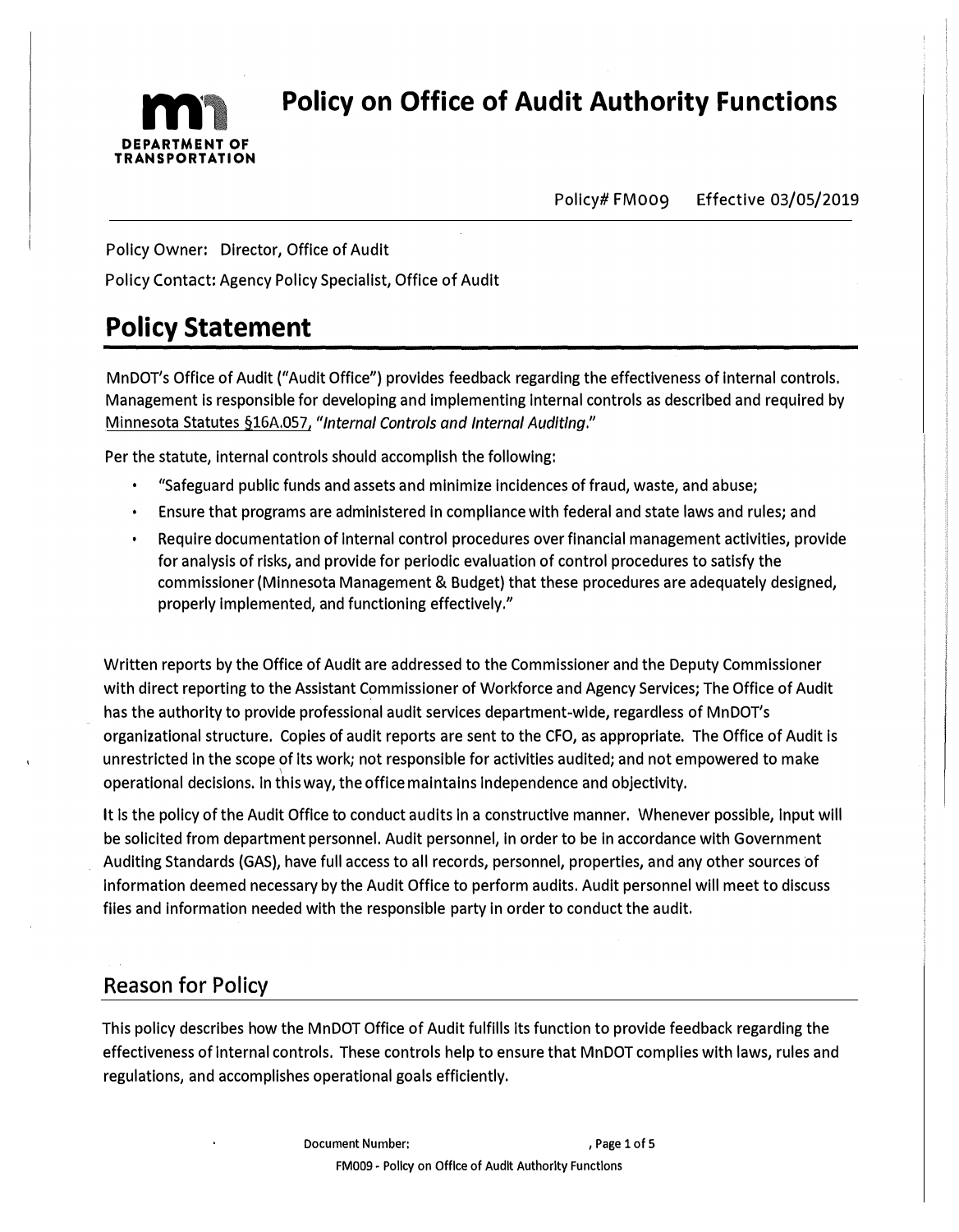

**Policy on Office of Audit Authority Functions** 

Policy# FM009 Effective 03/05/2019

Policy Owner: Director, Office of Audit

Policy Contact: Agency Policy Specialist, Office of Audit

# **Policy Statement**

MnDOT's Office of Audit ("Audit Office") provides feedback regarding the effectiveness of internal controls. Management is responsible for developing and implementing Internal controls as described and required by Minnesota Statutes §16A.057, *"Internal Controls and Internal Auditing."* 

Per the statute, internal controls should accomplish the following:

- "Safeguard public funds and assets and minimize incidences of fraud, waste, and abuse;
- Ensure that programs are administered in compliance with federal and state laws and rules; and
- Require documentation of Internal control procedures over financial management activities, provide for analysis of risks, and provide for periodic evaluation of control procedures to satisfy the commissioner (Minnesota Management & Budget) that these procedures are adequately designed, properly implemented, and functioning effectively."

Written reports by the Office of Audit are addressed to the Commissioner and the Deputy Commissioner with direct reporting to the Assistant Commissioner of Workforce and Agency Services; The Office of Audit has the authority to provide professional audit services department-wide, regardless of MnDOT's organizational structure. Copies of audit reports are sent to the CFO, as appropriate. The Office of Audit is unrestricted In the scope of Its work; not responsible for activities audited; and not empowered to make operational decisions. In this way, the office maintains Independence and objectivity.

It Is the policy of the Audit Office to conduct audits In a constructive manner. Whenever possible, Input will be solicited from department personnel. Audit personnel, in order to be in accordance with Government Auditing Standards (GAS), have full access to all records, personnel, properties, and any other sources of Information deemed necessary by the Audit Office to perform audits. Audit personnel will meet to discuss files and information needed with the responsible party in order to conduct the audit.

### **Reason for Policy**

This policy describes how the MnDOT Office of Audit fulfills its function to provide feedback regarding the effectiveness of Internal controls. These controls help to ensure that MnDOT complies with laws, rules and regulations, and accomplishes operational goals efficiently.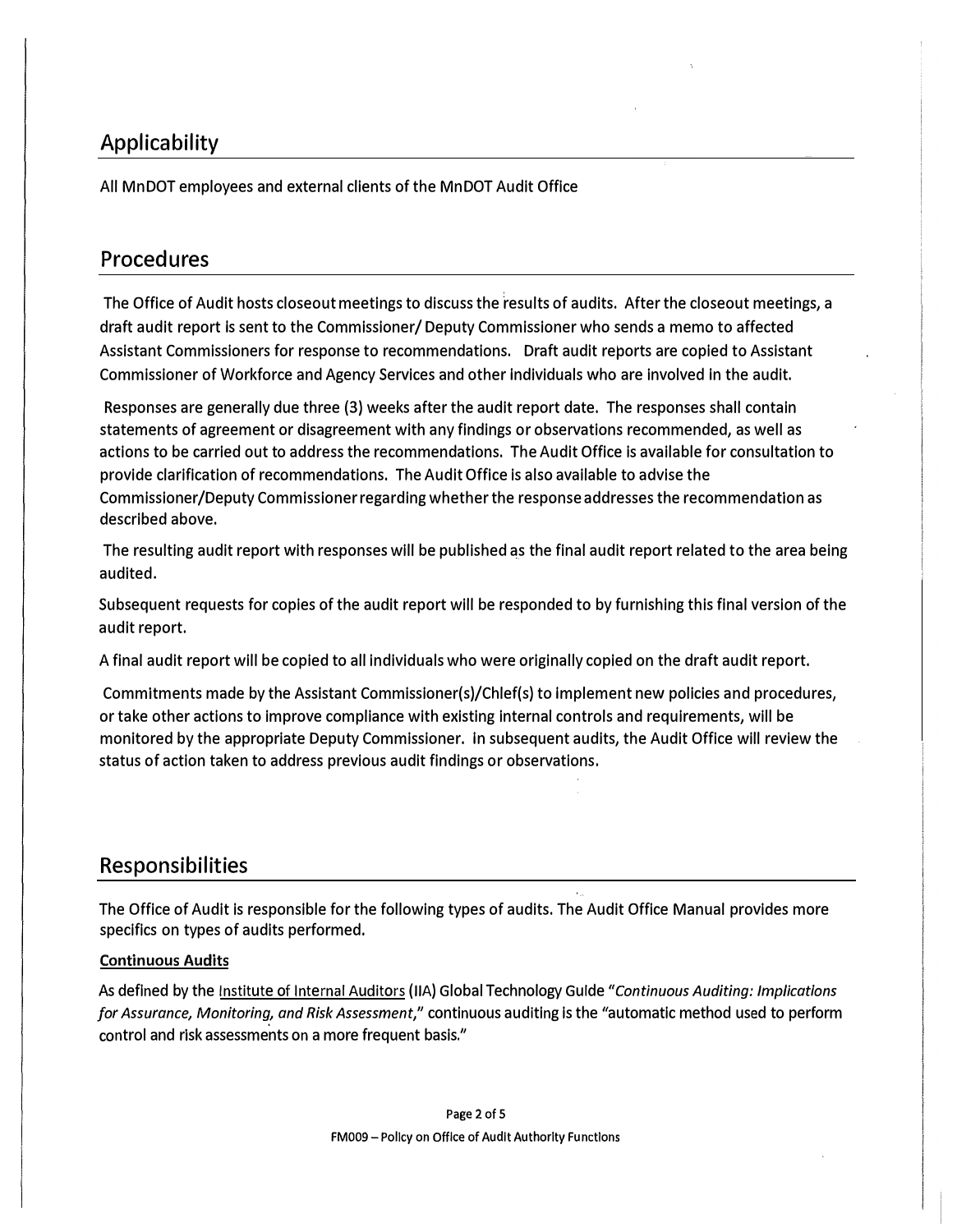### **Applicability**

All Mn DOT employees and external clients of the Mn DOT Audit Office

### **Procedures**

The Office of Audit hosts closeout meetings to discuss the results of audits. After the closeout meetings, a draft audit report is sent to the Commissioner/ Deputy Commissioner who sends a memo to affected Assistant Commissioners for response to recommendations. Draft audit reports are copied to Assistant Commissioner of Workforce and Agency Services and other Individuals who are involved In the audit.

Responses are generally due three (3) weeks after the audit report date. The responses shall contain statements of agreement or disagreement with any findings or observations recommended, as well as actions to be carried out to address the recommendations. The Audit Office is available for consultation to provide clarification of recommendations. The Audit Office is also available to advise the Commissioner/Deputy Commissioner regarding whether the response addresses the recommendation as described above.

The resulting audit report with responses will be published as the final audit report related to the area being audited.

Subsequent requests for copies of the audit report will be responded to by furnishing this final version of the audit report.

A final audit report will be copied to all individuals who were originally copied on the draft audit report.

Commitments made by the Assistant Commissioner(s)/Chlef(s) to Implement new policies and procedures, or take other actions to improve compliance with existing internal controls and requirements, will be monitored by the appropriate Deputy Commissioner. In subsequent audits, the Audit Office will review the status of action taken to address previous audit findings or observations.

### **Responsibilities**

The Office of Audit is responsible for the following types of audits. The Audit Office Manual provides more specifics on types of audits performed.

#### **Continuous Audits**

As defined by the Institute of Internal Auditors (IIA) Global Technology Gulde *"Continuous Auditing: Implications for Assurance, Monitoring, and Risk Assessment,"* continuous auditing is the "automatic method used to perform control and risk assessments on a more frequent basis."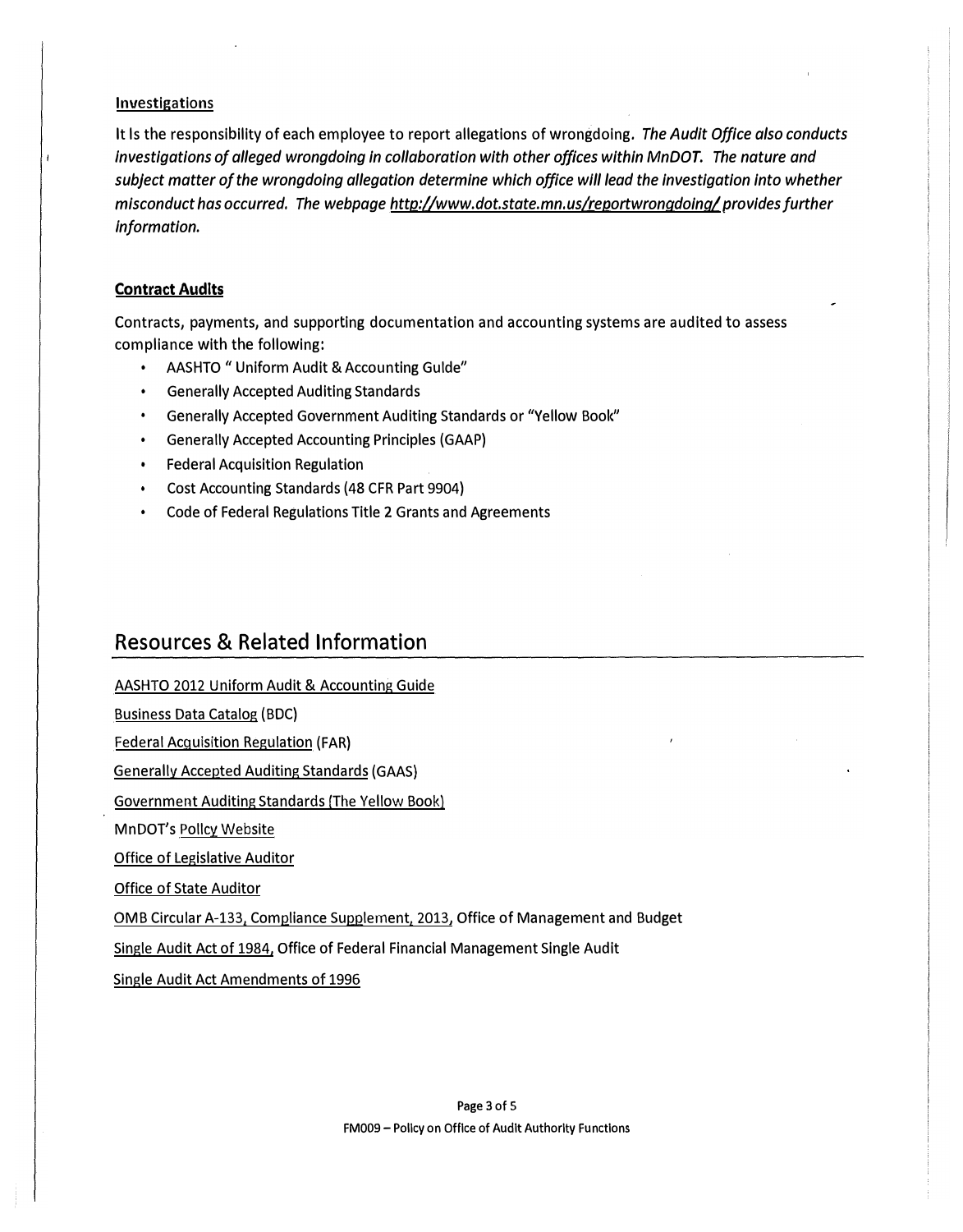#### **Investigations**

It ls the responsibility of each employee to report allegations of wrongdoing. *The Audit Office also conducts Investigations of alleged wrongdoing in collaboration with other offices within MnDOT. The nature and subject matter of the wrongdoing a/legation determine which office wlll lead the investigation into whether misconduct has occurred. The webpage http://www.dot.state.mn.us/reportwrongdoinq/ provides further Information.* 

#### **Contract Audits**

Contracts, payments, and supporting documentation and accounting systems are audited to assess compliance with the following:

- AASHTO "Uniform Audit & Accounting Gulde"
- Generally Accepted Auditing Standards
- Generally Accepted Government Auditing Standards or "Yellow Book"
- Generally Accepted Accounting Principles (GAAP)
- Federal Acquisition Regulation
- Cost Accounting Standards (48 CFR Part 9904)
- Code of Federal Regulations Title 2 Grants and Agreements

### **Resources & Related Information**

AASHTO 2012 Uniform Audit & Accounting Guide Business Data Catalog (BOC)

Federal Acquisition Regulation (FAR)

Generally Accepted Auditing Standards (GAAS)

Government Auditing Standards (The Yellow Book)

MnDOT's Polley Website

Office of Legislative Auditor

Office of State Auditor

OMB Circular A-133, Compliance Supplement, 2013, Office of Management and Budget

Single Audit Act of 1984, Office of Federal Financial Management Single Audit

Single Audit Act Amendments of 1996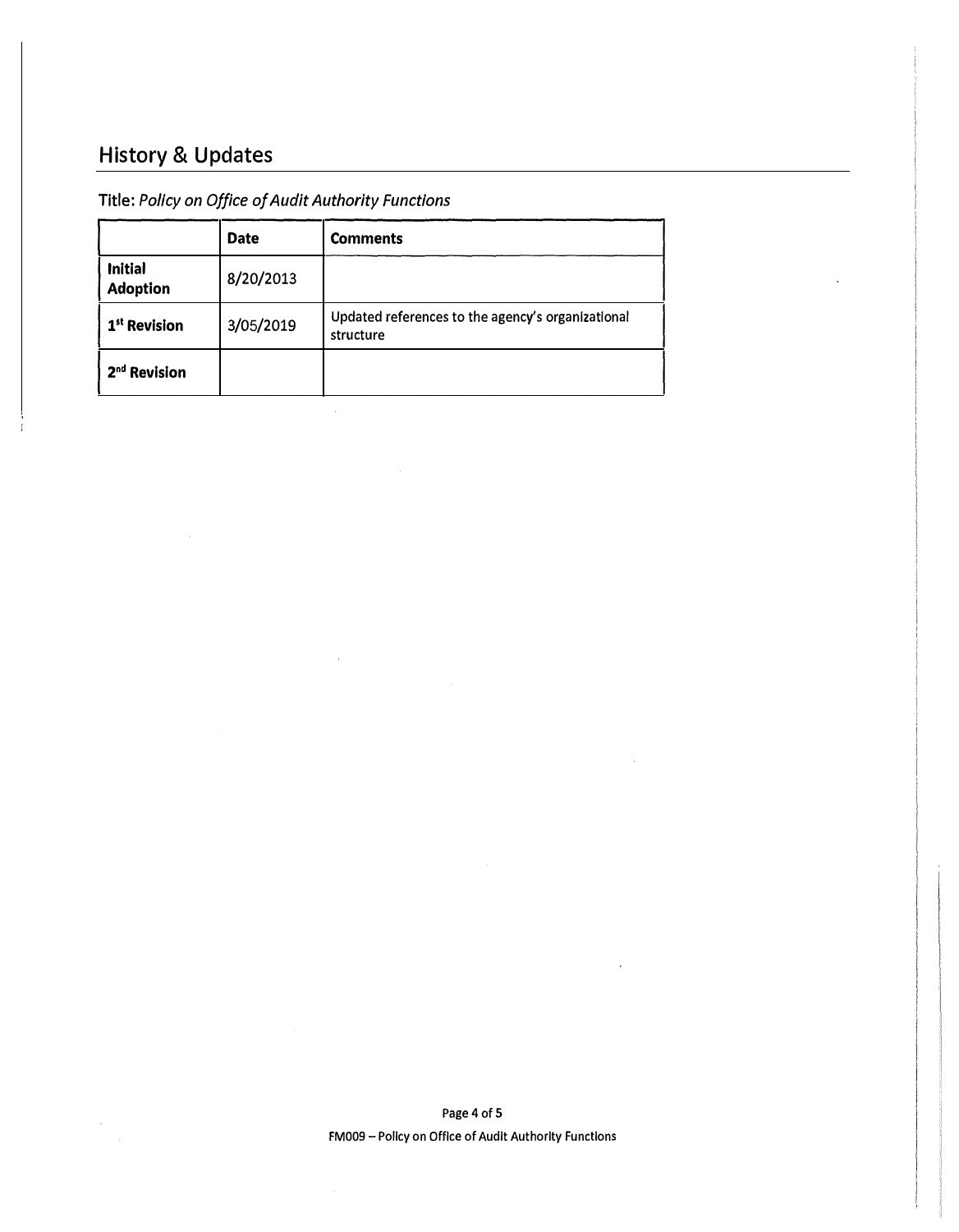## **History & Updates**

### Title: *Policy on Office of Audit Authority Functions*

|                                   | <b>Date</b> | <b>Comments</b>                                                |
|-----------------------------------|-------------|----------------------------------------------------------------|
| <b>Initial</b><br><b>Adoption</b> | 8/20/2013   |                                                                |
| 1 <sup>st</sup> Revision          | 3/05/2019   | Updated references to the agency's organizational<br>structure |
| 2 <sup>nd</sup> Revision          |             |                                                                |

 $\hat{\mathcal{A}}$ 

Page 4 of 5 FM009 - Policy on Office of Audit Authority Functions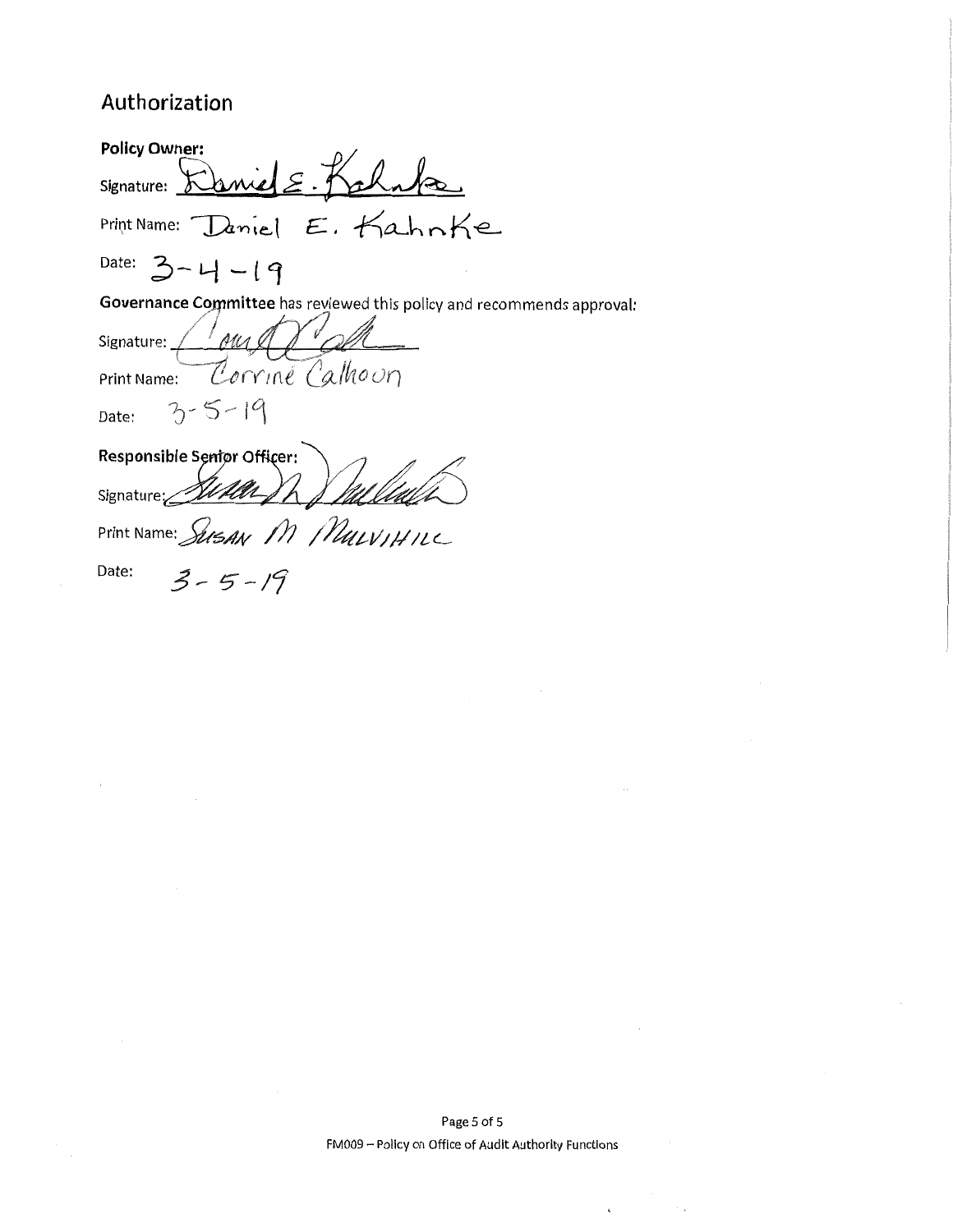# Authorization

 $\overline{a}$  $\ddot{\phantom{a}}$ 

 $\bar{z}$ 

| <b>Policy Owner:</b>                                                   |  |  |
|------------------------------------------------------------------------|--|--|
| Kaniel E.<br>Signature:                                                |  |  |
| Print Name: Daniel E. Kahnke                                           |  |  |
| Date: $3 - 4 - 19$                                                     |  |  |
| Governance Committee has reviewed this policy and recommends approval: |  |  |
| Signature: 1 AMA                                                       |  |  |
| Print Name: Corrine Calhoun                                            |  |  |
| $3 - 5 - 19$<br>Date:                                                  |  |  |
| Responsible Sentor Officer:                                            |  |  |
| Signature:                                                             |  |  |
| Print Name: SUSAN M MULVIHILL                                          |  |  |
| Date:<br>$3 - 5 - 19$                                                  |  |  |

 $\sim$   $\sim$ 

 $\mathbf{t}$